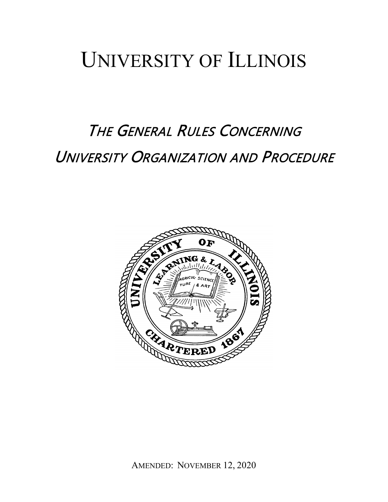# UNIVERSITY OF ILLINOIS

# THE GENERAL RULES CONCERNING UNIVERSITY ORGANIZATION AND PROCEDURE

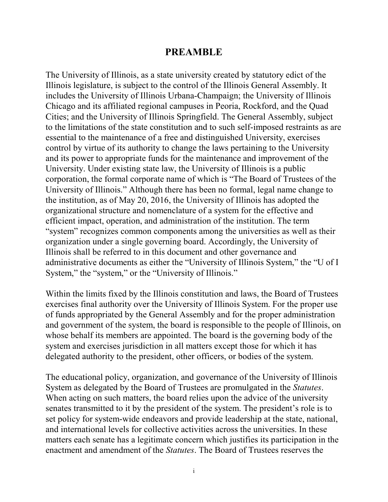# **PREAMBLE**

The University of Illinois, as a state university created by statutory edict of the Illinois legislature, is subject to the control of the Illinois General Assembly. It includes the University of Illinois Urbana-Champaign; the University of Illinois Chicago and its affiliated regional campuses in Peoria, Rockford, and the Quad Cities; and the University of Illinois Springfield. The General Assembly, subject to the limitations of the state constitution and to such self-imposed restraints as are essential to the maintenance of a free and distinguished University, exercises control by virtue of its authority to change the laws pertaining to the University and its power to appropriate funds for the maintenance and improvement of the University. Under existing state law, the University of Illinois is a public corporation, the formal corporate name of which is "The Board of Trustees of the University of Illinois." Although there has been no formal, legal name change to the institution, as of May 20, 2016, the University of Illinois has adopted the organizational structure and nomenclature of a system for the effective and efficient impact, operation, and administration of the institution. The term "system" recognizes common components among the universities as well as their organization under a single governing board. Accordingly, the University of Illinois shall be referred to in this document and other governance and administrative documents as either the "University of Illinois System," the "U of I System," the "system," or the "University of Illinois."

Within the limits fixed by the Illinois constitution and laws, the Board of Trustees exercises final authority over the University of Illinois System. For the proper use of funds appropriated by the General Assembly and for the proper administration and government of the system, the board is responsible to the people of Illinois, on whose behalf its members are appointed. The board is the governing body of the system and exercises jurisdiction in all matters except those for which it has delegated authority to the president, other officers, or bodies of the system.

The educational policy, organization, and governance of the University of Illinois System as delegated by the Board of Trustees are promulgated in the *Statutes*. When acting on such matters, the board relies upon the advice of the university senates transmitted to it by the president of the system. The president's role is to set policy for system-wide endeavors and provide leadership at the state, national, and international levels for collective activities across the universities. In these matters each senate has a legitimate concern which justifies its participation in the enactment and amendment of the *Statutes*. The Board of Trustees reserves the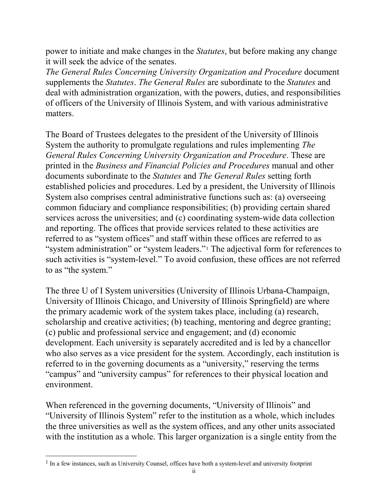power to initiate and make changes in the *Statutes*, but before making any change it will seek the advice of the senates.

*The General Rules Concerning University Organization and Procedure* document supplements the *Statutes*. *The General Rules* are subordinate to the *Statutes* and deal with administration organization, with the powers, duties, and responsibilities of officers of the University of Illinois System, and with various administrative matters.

The Board of Trustees delegates to the president of the University of Illinois System the authority to promulgate regulations and rules implementing *The General Rules Concerning University Organization and Procedure*. These are printed in the *Business and Financial Policies and Procedures* manual and other documents subordinate to the *Statutes* and *The General Rules* setting forth established policies and procedures. Led by a president, the University of Illinois System also comprises central administrative functions such as: (a) overseeing common fiduciary and compliance responsibilities; (b) providing certain shared services across the universities; and (c) coordinating system-wide data collection and reporting. The offices that provide services related to these activities are referred to as "system offices" and staff within these offices are referred to as "system administration" or "system leaders."<sup>[1](#page-2-0)</sup> The adjectival form for references to such activities is "system-level." To avoid confusion, these offices are not referred to as "the system."

The three U of I System universities (University of Illinois Urbana-Champaign, University of Illinois Chicago, and University of Illinois Springfield) are where the primary academic work of the system takes place, including (a) research, scholarship and creative activities; (b) teaching, mentoring and degree granting; (c) public and professional service and engagement; and (d) economic development. Each university is separately accredited and is led by a chancellor who also serves as a vice president for the system. Accordingly, each institution is referred to in the governing documents as a "university," reserving the terms "campus" and "university campus" for references to their physical location and environment.

When referenced in the governing documents, "University of Illinois" and "University of Illinois System" refer to the institution as a whole, which includes the three universities as well as the system offices, and any other units associated with the institution as a whole. This larger organization is a single entity from the

 $\overline{a}$ 

<span id="page-2-0"></span><sup>&</sup>lt;sup>1</sup> In a few instances, such as University Counsel, offices have both a system-level and university footprint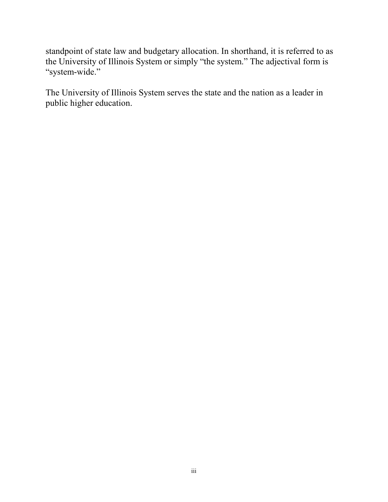standpoint of state law and budgetary allocation. In shorthand, it is referred to as the University of Illinois System or simply "the system." The adjectival form is "system-wide."

The University of Illinois System serves the state and the nation as a leader in public higher education.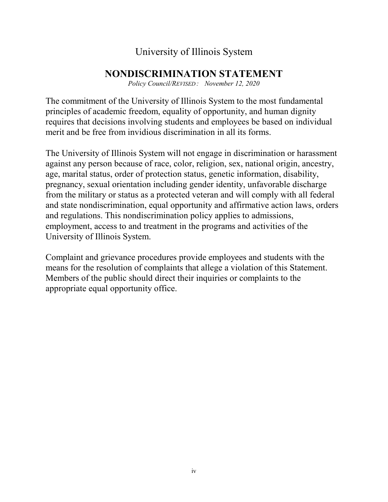# University of Illinois System

# **NONDISCRIMINATION STATEMENT**

*Policy Council/REVISED : November 12, 2020*

The commitment of the University of Illinois System to the most fundamental principles of academic freedom, equality of opportunity, and human dignity requires that decisions involving students and employees be based on individual merit and be free from invidious discrimination in all its forms.

The University of Illinois System will not engage in discrimination or harassment against any person because of race, color, religion, sex, national origin, ancestry, age, marital status, order of protection status, genetic information, disability, pregnancy, sexual orientation including gender identity, unfavorable discharge from the military or status as a protected veteran and will comply with all federal and state nondiscrimination, equal opportunity and affirmative action laws, orders and regulations. This nondiscrimination policy applies to admissions, employment, access to and treatment in the programs and activities of the University of Illinois System.

Complaint and grievance procedures provide employees and students with the means for the resolution of complaints that allege a violation of this Statement. Members of the public should direct their inquiries or complaints to the appropriate equal opportunity office.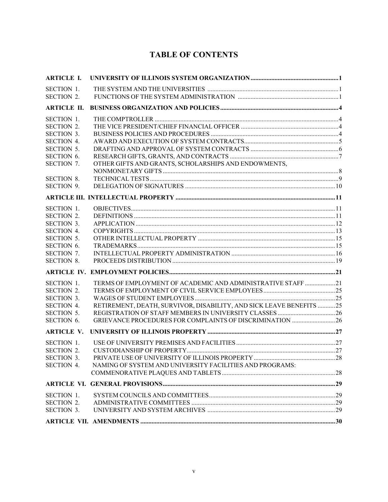# **TABLE OF CONTENTS**

| <b>ARTICLE I.</b>  |                                                                     |  |
|--------------------|---------------------------------------------------------------------|--|
| <b>SECTION 1.</b>  |                                                                     |  |
| <b>SECTION 2.</b>  |                                                                     |  |
| <b>ARTICLE II.</b> |                                                                     |  |
| SECTION 1.         |                                                                     |  |
| <b>SECTION 2.</b>  |                                                                     |  |
| <b>SECTION 3.</b>  |                                                                     |  |
| <b>SECTION 4.</b>  |                                                                     |  |
| <b>SECTION 5.</b>  |                                                                     |  |
| SECTION 6.         |                                                                     |  |
| SECTION 7.         | OTHER GIFTS AND GRANTS, SCHOLARSHIPS AND ENDOWMENTS,                |  |
|                    |                                                                     |  |
| <b>SECTION 8.</b>  |                                                                     |  |
| <b>SECTION 9.</b>  |                                                                     |  |
|                    |                                                                     |  |
| <b>SECTION 1.</b>  |                                                                     |  |
| <b>SECTION 2.</b>  |                                                                     |  |
| <b>SECTION 3.</b>  |                                                                     |  |
| <b>SECTION 4.</b>  |                                                                     |  |
| <b>SECTION 5.</b>  |                                                                     |  |
| SECTION 6.         |                                                                     |  |
| <b>SECTION 7.</b>  |                                                                     |  |
| <b>SECTION 8.</b>  |                                                                     |  |
|                    |                                                                     |  |
| SECTION 1.         | TERMS OF EMPLOYMENT OF ACADEMIC AND ADMINISTRATIVE STAFF 21         |  |
| <b>SECTION 2.</b>  |                                                                     |  |
| SECTION 3.         |                                                                     |  |
| <b>SECTION 4.</b>  | RETIREMENT, DEATH, SURVIVOR, DISABILITY, AND SICK LEAVE BENEFITS 25 |  |
| <b>SECTION 5.</b>  |                                                                     |  |
| SECTION 6.         | GRIEVANCE PROCEDURES FOR COMPLAINTS OF DISCRIMINATION  26           |  |
| <b>ARTICLE V.</b>  |                                                                     |  |
| <b>SECTION 1.</b>  |                                                                     |  |
| <b>SECTION 2.</b>  |                                                                     |  |
| <b>SECTION 3</b>   |                                                                     |  |
| <b>SECTION 4.</b>  | NAMING OF SYSTEM AND UNIVERSITY FACILITIES AND PROGRAMS:            |  |
|                    |                                                                     |  |
|                    |                                                                     |  |
| SECTION 1.         |                                                                     |  |
| <b>SECTION 2.</b>  |                                                                     |  |
| <b>SECTION 3.</b>  |                                                                     |  |
|                    |                                                                     |  |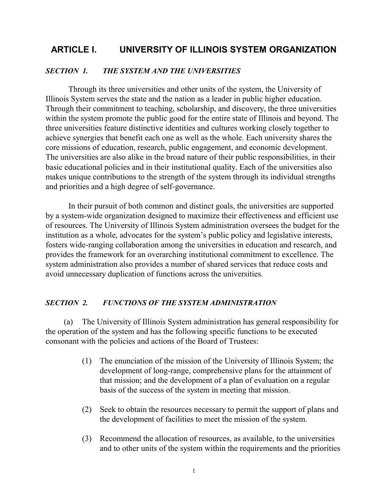## **ARTICLE I. UNIVERSITY OF ILLINOIS SYSTEM ORGANIZATION**

#### *SECTION 1. THE SYSTEM AND THE UNIVERSITIES*

Through its three universities and other units of the system, the University of Illinois System serves the state and the nation as a leader in public higher education. Through their commitment to teaching, scholarship, and discovery, the three universities within the system promote the public good for the entire state of Illinois and beyond. The three universities feature distinctive identities and cultures working closely together to achieve synergies that benefit each one as well as the whole. Each university shares the core missions of education, research, public engagement, and economic development. The universities are also alike in the broad nature of their public responsibilities, in their basic educational policies and in their institutional quality. Each of the universities also makes unique contributions to the strength of the system through its individual strengths and priorities and a high degree of self-governance.

In their pursuit of both common and distinct goals, the universities are supported by a system-wide organization designed to maximize their effectiveness and efficient use of resources. The University of Illinois System administration oversees the budget for the institution as a whole, advocates for the system's public policy and legislative interests, fosters wide-ranging collaboration among the universities in education and research, and provides the framework for an overarching institutional commitment to excellence. The system administration also provides a number of shared services that reduce costs and avoid unnecessary duplication of functions across the universities.

#### *SECTION 2. FUNCTIONS OF THE SYSTEM ADMINISTRATION*

(a) The University of Illinois System administration has general responsibility for the operation of the system and has the following specific functions to be executed consonant with the policies and actions of the Board of Trustees:

- (1) The enunciation of the mission of the University of Illinois System; the development of long-range, comprehensive plans for the attainment of that mission; and the development of a plan of evaluation on a regular basis of the success of the system in meeting that mission.
- (2) Seek to obtain the resources necessary to permit the support of plans and the development of facilities to meet the mission of the system.
- (3) Recommend the allocation of resources, as available, to the universities and to other units of the system within the requirements and the priorities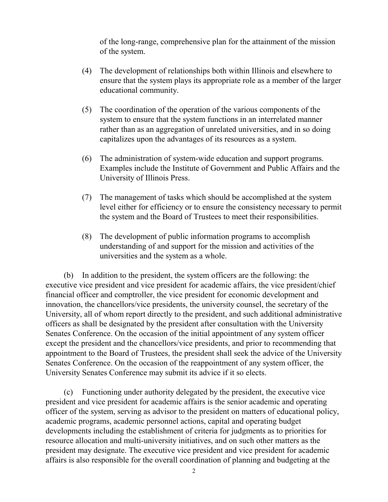of the long-range, comprehensive plan for the attainment of the mission of the system.

- (4) The development of relationships both within Illinois and elsewhere to ensure that the system plays its appropriate role as a member of the larger educational community.
- (5) The coordination of the operation of the various components of the system to ensure that the system functions in an interrelated manner rather than as an aggregation of unrelated universities, and in so doing capitalizes upon the advantages of its resources as a system.
- (6) The administration of system-wide education and support programs. Examples include the Institute of Government and Public Affairs and the University of Illinois Press.
- (7) The management of tasks which should be accomplished at the system level either for efficiency or to ensure the consistency necessary to permit the system and the Board of Trustees to meet their responsibilities.
- (8) The development of public information programs to accomplish understanding of and support for the mission and activities of the universities and the system as a whole.

(b) In addition to the president, the system officers are the following: the executive vice president and vice president for academic affairs, the vice president/chief financial officer and comptroller, the vice president for economic development and innovation, the chancellors/vice presidents, the university counsel, the secretary of the University, all of whom report directly to the president, and such additional administrative officers as shall be designated by the president after consultation with the University Senates Conference. On the occasion of the initial appointment of any system officer except the president and the chancellors/vice presidents, and prior to recommending that appointment to the Board of Trustees, the president shall seek the advice of the University Senates Conference. On the occasion of the reappointment of any system officer, the University Senates Conference may submit its advice if it so elects.

(c) Functioning under authority delegated by the president, the executive vice president and vice president for academic affairs is the senior academic and operating officer of the system, serving as advisor to the president on matters of educational policy, academic programs, academic personnel actions, capital and operating budget developments including the establishment of criteria for judgments as to priorities for resource allocation and multi-university initiatives, and on such other matters as the president may designate. The executive vice president and vice president for academic affairs is also responsible for the overall coordination of planning and budgeting at the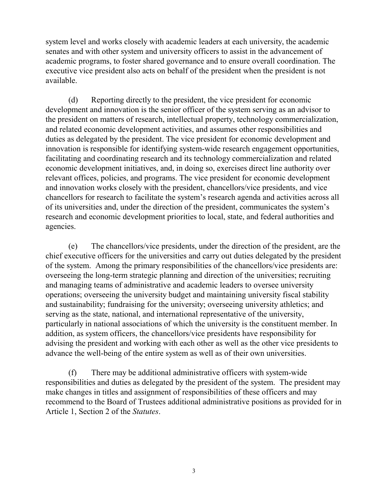system level and works closely with academic leaders at each university, the academic senates and with other system and university officers to assist in the advancement of academic programs, to foster shared governance and to ensure overall coordination. The executive vice president also acts on behalf of the president when the president is not available.

(d) Reporting directly to the president, the vice president for economic development and innovation is the senior officer of the system serving as an advisor to the president on matters of research, intellectual property, technology commercialization, and related economic development activities, and assumes other responsibilities and duties as delegated by the president. The vice president for economic development and innovation is responsible for identifying system-wide research engagement opportunities, facilitating and coordinating research and its technology commercialization and related economic development initiatives, and, in doing so, exercises direct line authority over relevant offices, policies, and programs. The vice president for economic development and innovation works closely with the president, chancellors/vice presidents, and vice chancellors for research to facilitate the system's research agenda and activities across all of its universities and, under the direction of the president, communicates the system's research and economic development priorities to local, state, and federal authorities and agencies.

(e) The chancellors/vice presidents, under the direction of the president, are the chief executive officers for the universities and carry out duties delegated by the president of the system. Among the primary responsibilities of the chancellors/vice presidents are: overseeing the long-term strategic planning and direction of the universities; recruiting and managing teams of administrative and academic leaders to oversee university operations; overseeing the university budget and maintaining university fiscal stability and sustainability; fundraising for the university; overseeing university athletics; and serving as the state, national, and international representative of the university, particularly in national associations of which the university is the constituent member. In addition, as system officers, the chancellors/vice presidents have responsibility for advising the president and working with each other as well as the other vice presidents to advance the well-being of the entire system as well as of their own universities.

(f) There may be additional administrative officers with system-wide responsibilities and duties as delegated by the president of the system. The president may make changes in titles and assignment of responsibilities of these officers and may recommend to the Board of Trustees additional administrative positions as provided for in Article 1, Section 2 of the *Statutes*.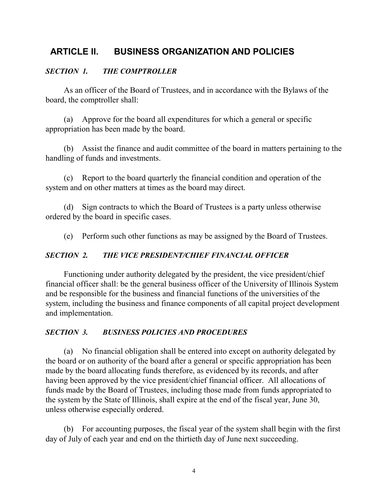# **ARTICLE II. BUSINESS ORGANIZATION AND POLICIES**

## *SECTION 1. THE COMPTROLLER*

As an officer of the Board of Trustees, and in accordance with the Bylaws of the board, the comptroller shall:

(a) Approve for the board all expenditures for which a general or specific appropriation has been made by the board.

(b) Assist the finance and audit committee of the board in matters pertaining to the handling of funds and investments.

(c) Report to the board quarterly the financial condition and operation of the system and on other matters at times as the board may direct.

(d) Sign contracts to which the Board of Trustees is a party unless otherwise ordered by the board in specific cases.

(e) Perform such other functions as may be assigned by the Board of Trustees.

#### *SECTION 2. THE VICE PRESIDENT/CHIEF FINANCIAL OFFICER*

Functioning under authority delegated by the president, the vice president/chief financial officer shall: be the general business officer of the University of Illinois System and be responsible for the business and financial functions of the universities of the system, including the business and finance components of all capital project development and implementation.

#### *SECTION 3. BUSINESS POLICIES AND PROCEDURES*

(a) No financial obligation shall be entered into except on authority delegated by the board or on authority of the board after a general or specific appropriation has been made by the board allocating funds therefore, as evidenced by its records, and after having been approved by the vice president/chief financial officer. All allocations of funds made by the Board of Trustees, including those made from funds appropriated to the system by the State of Illinois, shall expire at the end of the fiscal year, June 30, unless otherwise especially ordered.

(b) For accounting purposes, the fiscal year of the system shall begin with the first day of July of each year and end on the thirtieth day of June next succeeding.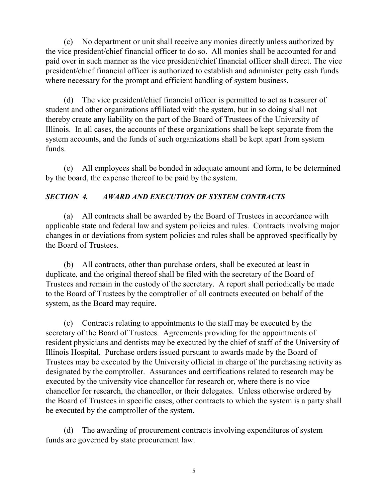(c) No department or unit shall receive any monies directly unless authorized by the vice president/chief financial officer to do so. All monies shall be accounted for and paid over in such manner as the vice president/chief financial officer shall direct. The vice president/chief financial officer is authorized to establish and administer petty cash funds where necessary for the prompt and efficient handling of system business.

(d) The vice president/chief financial officer is permitted to act as treasurer of student and other organizations affiliated with the system, but in so doing shall not thereby create any liability on the part of the Board of Trustees of the University of Illinois. In all cases, the accounts of these organizations shall be kept separate from the system accounts, and the funds of such organizations shall be kept apart from system funds.

(e) All employees shall be bonded in adequate amount and form, to be determined by the board, the expense thereof to be paid by the system.

## *SECTION 4. AWARD AND EXECUTION OF SYSTEM CONTRACTS*

(a) All contracts shall be awarded by the Board of Trustees in accordance with applicable state and federal law and system policies and rules. Contracts involving major changes in or deviations from system policies and rules shall be approved specifically by the Board of Trustees.

(b) All contracts, other than purchase orders, shall be executed at least in duplicate, and the original thereof shall be filed with the secretary of the Board of Trustees and remain in the custody of the secretary. A report shall periodically be made to the Board of Trustees by the comptroller of all contracts executed on behalf of the system, as the Board may require.

(c) Contracts relating to appointments to the staff may be executed by the secretary of the Board of Trustees. Agreements providing for the appointments of resident physicians and dentists may be executed by the chief of staff of the University of Illinois Hospital. Purchase orders issued pursuant to awards made by the Board of Trustees may be executed by the University official in charge of the purchasing activity as designated by the comptroller. Assurances and certifications related to research may be executed by the university vice chancellor for research or, where there is no vice chancellor for research, the chancellor, or their delegates. Unless otherwise ordered by the Board of Trustees in specific cases, other contracts to which the system is a party shall be executed by the comptroller of the system.

(d) The awarding of procurement contracts involving expenditures of system funds are governed by state procurement law.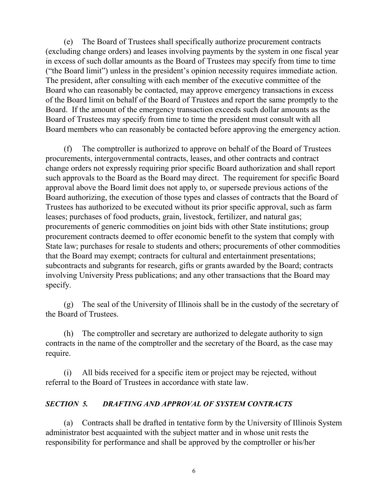(e) The Board of Trustees shall specifically authorize procurement contracts (excluding change orders) and leases involving payments by the system in one fiscal year in excess of such dollar amounts as the Board of Trustees may specify from time to time ("the Board limit") unless in the president's opinion necessity requires immediate action. The president, after consulting with each member of the executive committee of the Board who can reasonably be contacted, may approve emergency transactions in excess of the Board limit on behalf of the Board of Trustees and report the same promptly to the Board. If the amount of the emergency transaction exceeds such dollar amounts as the Board of Trustees may specify from time to time the president must consult with all Board members who can reasonably be contacted before approving the emergency action.

(f) The comptroller is authorized to approve on behalf of the Board of Trustees procurements, intergovernmental contracts, leases, and other contracts and contract change orders not expressly requiring prior specific Board authorization and shall report such approvals to the Board as the Board may direct. The requirement for specific Board approval above the Board limit does not apply to, or supersede previous actions of the Board authorizing, the execution of those types and classes of contracts that the Board of Trustees has authorized to be executed without its prior specific approval, such as farm leases; purchases of food products, grain, livestock, fertilizer, and natural gas; procurements of generic commodities on joint bids with other State institutions; group procurement contracts deemed to offer economic benefit to the system that comply with State law; purchases for resale to students and others; procurements of other commodities that the Board may exempt; contracts for cultural and entertainment presentations; subcontracts and subgrants for research, gifts or grants awarded by the Board; contracts involving University Press publications; and any other transactions that the Board may specify.

(g) The seal of the University of Illinois shall be in the custody of the secretary of the Board of Trustees.

(h) The comptroller and secretary are authorized to delegate authority to sign contracts in the name of the comptroller and the secretary of the Board, as the case may require.

(i) All bids received for a specific item or project may be rejected, without referral to the Board of Trustees in accordance with state law.

## *SECTION 5. DRAFTING AND APPROVAL OF SYSTEM CONTRACTS*

(a) Contracts shall be drafted in tentative form by the University of Illinois System administrator best acquainted with the subject matter and in whose unit rests the responsibility for performance and shall be approved by the comptroller or his/her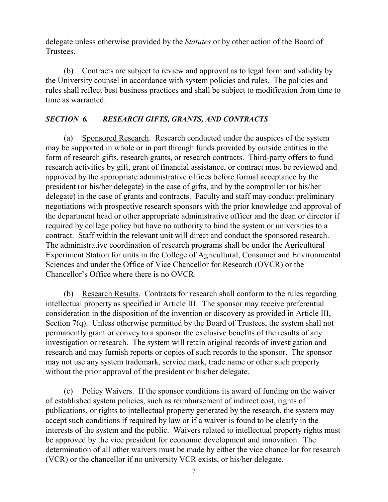delegate unless otherwise provided by the *Statutes* or by other action of the Board of Trustees.

(b) Contracts are subject to review and approval as to legal form and validity by the University counsel in accordance with system policies and rules. The policies and rules shall reflect best business practices and shall be subject to modification from time to time as warranted.

## *SECTION 6. RESEARCH GIFTS, GRANTS, AND CONTRACTS*

(a) Sponsored Research. Research conducted under the auspices of the system may be supported in whole or in part through funds provided by outside entities in the form of research gifts, research grants, or research contracts. Third-party offers to fund research activities by gift, grant of financial assistance, or contract must be reviewed and approved by the appropriate administrative offices before formal acceptance by the president (or his/her delegate) in the case of gifts, and by the comptroller (or his/her delegate) in the case of grants and contracts. Faculty and staff may conduct preliminary negotiations with prospective research sponsors with the prior knowledge and approval of the department head or other appropriate administrative officer and the dean or director if required by college policy but have no authority to bind the system or universities to a contract. Staff within the relevant unit will direct and conduct the sponsored research. The administrative coordination of research programs shall be under the Agricultural Experiment Station for units in the College of Agricultural, Consumer and Environmental Sciences and under the Office of Vice Chancellor for Research (OVCR) or the Chancellor's Office where there is no OVCR.

(b) Research Results. Contracts for research shall conform to the rules regarding intellectual property as specified in Article III. The sponsor may receive preferential consideration in the disposition of the invention or discovery as provided in Article III, Section 7(q). Unless otherwise permitted by the Board of Trustees, the system shall not permanently grant or convey to a sponsor the exclusive benefits of the results of any investigation or research. The system will retain original records of investigation and research and may furnish reports or copies of such records to the sponsor. The sponsor may not use any system trademark, service mark, trade name or other such property without the prior approval of the president or his/her delegate.

(c) Policy Waivers. If the sponsor conditions its award of funding on the waiver of established system policies, such as reimbursement of indirect cost, rights of publications, or rights to intellectual property generated by the research, the system may accept such conditions if required by law or if a waiver is found to be clearly in the interests of the system and the public. Waivers related to intellectual property rights must be approved by the vice president for economic development and innovation. The determination of all other waivers must be made by either the vice chancellor for research (VCR) or the chancellor if no university VCR exists, or his/her delegate.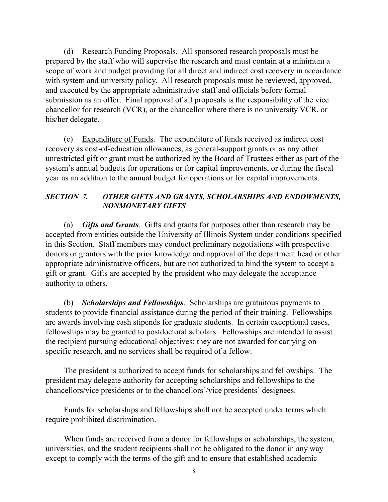(d) Research Funding Proposals. All sponsored research proposals must be prepared by the staff who will supervise the research and must contain at a minimum a scope of work and budget providing for all direct and indirect cost recovery in accordance with system and university policy. All research proposals must be reviewed, approved, and executed by the appropriate administrative staff and officials before formal submission as an offer. Final approval of all proposals is the responsibility of the vice chancellor for research (VCR), or the chancellor where there is no university VCR, or his/her delegate.

(e) Expenditure of Funds. The expenditure of funds received as indirect cost recovery as cost-of-education allowances, as general-support grants or as any other unrestricted gift or grant must be authorized by the Board of Trustees either as part of the system's annual budgets for operations or for capital improvements, or during the fiscal year as an addition to the annual budget for operations or for capital improvements.

#### *SECTION 7. OTHER GIFTS AND GRANTS, SCHOLARSHIPS AND ENDOWMENTS, NONMONETARY GIFTS*

(a) *Gifts and Grants*. Gifts and grants for purposes other than research may be accepted from entities outside the University of Illinois System under conditions specified in this Section. Staff members may conduct preliminary negotiations with prospective donors or grantors with the prior knowledge and approval of the department head or other appropriate administrative officers, but are not authorized to bind the system to accept a gift or grant. Gifts are accepted by the president who may delegate the acceptance authority to others.

(b) *Scholarships and Fellowships*. Scholarships are gratuitous payments to students to provide financial assistance during the period of their training. Fellowships are awards involving cash stipends for graduate students. In certain exceptional cases, fellowships may be granted to postdoctoral scholars. Fellowships are intended to assist the recipient pursuing educational objectives; they are not awarded for carrying on specific research, and no services shall be required of a fellow.

The president is authorized to accept funds for scholarships and fellowships. The president may delegate authority for accepting scholarships and fellowships to the chancellors/vice presidents or to the chancellors'/vice presidents' designees.

Funds for scholarships and fellowships shall not be accepted under terms which require prohibited discrimination.

When funds are received from a donor for fellowships or scholarships, the system, universities, and the student recipients shall not be obligated to the donor in any way except to comply with the terms of the gift and to ensure that established academic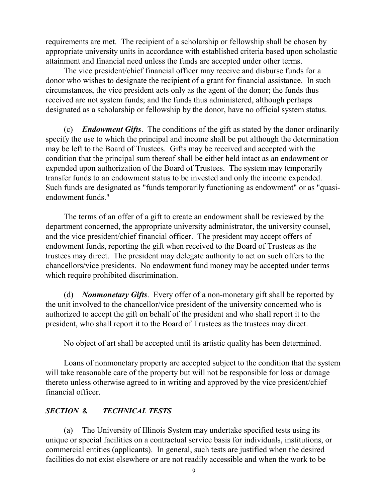requirements are met. The recipient of a scholarship or fellowship shall be chosen by appropriate university units in accordance with established criteria based upon scholastic attainment and financial need unless the funds are accepted under other terms.

The vice president/chief financial officer may receive and disburse funds for a donor who wishes to designate the recipient of a grant for financial assistance. In such circumstances, the vice president acts only as the agent of the donor; the funds thus received are not system funds; and the funds thus administered, although perhaps designated as a scholarship or fellowship by the donor, have no official system status.

(c) *Endowment Gifts*. The conditions of the gift as stated by the donor ordinarily specify the use to which the principal and income shall be put although the determination may be left to the Board of Trustees. Gifts may be received and accepted with the condition that the principal sum thereof shall be either held intact as an endowment or expended upon authorization of the Board of Trustees. The system may temporarily transfer funds to an endowment status to be invested and only the income expended. Such funds are designated as "funds temporarily functioning as endowment" or as "quasiendowment funds."

The terms of an offer of a gift to create an endowment shall be reviewed by the department concerned, the appropriate university administrator, the university counsel, and the vice president/chief financial officer. The president may accept offers of endowment funds, reporting the gift when received to the Board of Trustees as the trustees may direct. The president may delegate authority to act on such offers to the chancellors/vice presidents. No endowment fund money may be accepted under terms which require prohibited discrimination.

(d) *Nonmonetary Gifts*. Every offer of a non-monetary gift shall be reported by the unit involved to the chancellor/vice president of the university concerned who is authorized to accept the gift on behalf of the president and who shall report it to the president, who shall report it to the Board of Trustees as the trustees may direct.

No object of art shall be accepted until its artistic quality has been determined.

Loans of nonmonetary property are accepted subject to the condition that the system will take reasonable care of the property but will not be responsible for loss or damage thereto unless otherwise agreed to in writing and approved by the vice president/chief financial officer.

#### *SECTION 8. TECHNICAL TESTS*

(a) The University of Illinois System may undertake specified tests using its unique or special facilities on a contractual service basis for individuals, institutions, or commercial entities (applicants). In general, such tests are justified when the desired facilities do not exist elsewhere or are not readily accessible and when the work to be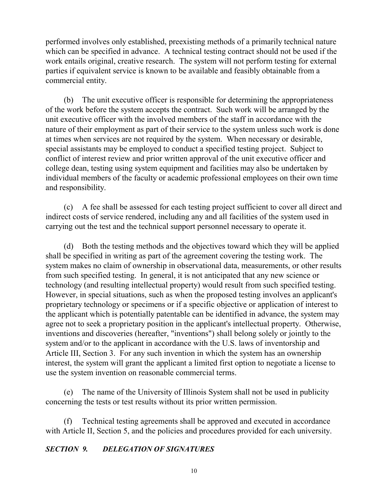performed involves only established, preexisting methods of a primarily technical nature which can be specified in advance. A technical testing contract should not be used if the work entails original, creative research. The system will not perform testing for external parties if equivalent service is known to be available and feasibly obtainable from a commercial entity.

(b) The unit executive officer is responsible for determining the appropriateness of the work before the system accepts the contract. Such work will be arranged by the unit executive officer with the involved members of the staff in accordance with the nature of their employment as part of their service to the system unless such work is done at times when services are not required by the system. When necessary or desirable, special assistants may be employed to conduct a specified testing project. Subject to conflict of interest review and prior written approval of the unit executive officer and college dean, testing using system equipment and facilities may also be undertaken by individual members of the faculty or academic professional employees on their own time and responsibility.

(c) A fee shall be assessed for each testing project sufficient to cover all direct and indirect costs of service rendered, including any and all facilities of the system used in carrying out the test and the technical support personnel necessary to operate it.

(d) Both the testing methods and the objectives toward which they will be applied shall be specified in writing as part of the agreement covering the testing work. The system makes no claim of ownership in observational data, measurements, or other results from such specified testing. In general, it is not anticipated that any new science or technology (and resulting intellectual property) would result from such specified testing. However, in special situations, such as when the proposed testing involves an applicant's proprietary technology or specimens or if a specific objective or application of interest to the applicant which is potentially patentable can be identified in advance, the system may agree not to seek a proprietary position in the applicant's intellectual property. Otherwise, inventions and discoveries (hereafter, "inventions") shall belong solely or jointly to the system and/or to the applicant in accordance with the U.S. laws of inventorship and Article III, Section 3. For any such invention in which the system has an ownership interest, the system will grant the applicant a limited first option to negotiate a license to use the system invention on reasonable commercial terms.

(e) The name of the University of Illinois System shall not be used in publicity concerning the tests or test results without its prior written permission.

(f) Technical testing agreements shall be approved and executed in accordance with Article II, Section 5, and the policies and procedures provided for each university.

#### *SECTION 9. DELEGATION OF SIGNATURES*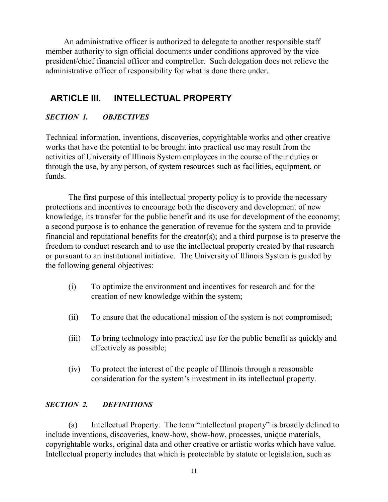An administrative officer is authorized to delegate to another responsible staff member authority to sign official documents under conditions approved by the vice president/chief financial officer and comptroller. Such delegation does not relieve the administrative officer of responsibility for what is done there under.

# **ARTICLE III. INTELLECTUAL PROPERTY**

## *SECTION 1. OBJECTIVES*

Technical information, inventions, discoveries, copyrightable works and other creative works that have the potential to be brought into practical use may result from the activities of University of Illinois System employees in the course of their duties or through the use, by any person, of system resources such as facilities, equipment, or funds.

The first purpose of this intellectual property policy is to provide the necessary protections and incentives to encourage both the discovery and development of new knowledge, its transfer for the public benefit and its use for development of the economy; a second purpose is to enhance the generation of revenue for the system and to provide financial and reputational benefits for the creator(s); and a third purpose is to preserve the freedom to conduct research and to use the intellectual property created by that research or pursuant to an institutional initiative. The University of Illinois System is guided by the following general objectives:

- (i) To optimize the environment and incentives for research and for the creation of new knowledge within the system;
- (ii) To ensure that the educational mission of the system is not compromised;
- (iii) To bring technology into practical use for the public benefit as quickly and effectively as possible;
- (iv) To protect the interest of the people of Illinois through a reasonable consideration for the system's investment in its intellectual property.

#### *SECTION 2. DEFINITIONS*

(a) Intellectual Property. The term "intellectual property" is broadly defined to include inventions, discoveries, know-how, show-how, processes, unique materials, copyrightable works, original data and other creative or artistic works which have value. Intellectual property includes that which is protectable by statute or legislation, such as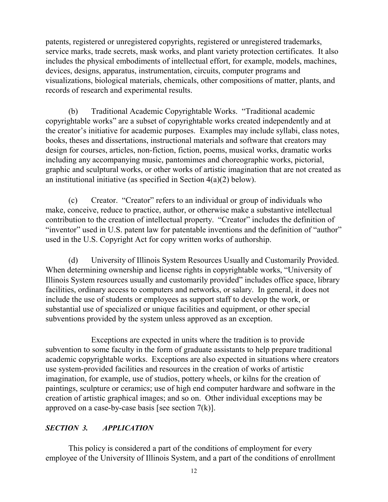patents, registered or unregistered copyrights, registered or unregistered trademarks, service marks, trade secrets, mask works, and plant variety protection certificates. It also includes the physical embodiments of intellectual effort, for example, models, machines, devices, designs, apparatus, instrumentation, circuits, computer programs and visualizations, biological materials, chemicals, other compositions of matter, plants, and records of research and experimental results.

(b) Traditional Academic Copyrightable Works. "Traditional academic copyrightable works" are a subset of copyrightable works created independently and at the creator's initiative for academic purposes. Examples may include syllabi, class notes, books, theses and dissertations, instructional materials and software that creators may design for courses, articles, non-fiction, fiction, poems, musical works, dramatic works including any accompanying music, pantomimes and choreographic works, pictorial, graphic and sculptural works, or other works of artistic imagination that are not created as an institutional initiative (as specified in Section 4(a)(2) below).

(c) Creator. "Creator" refers to an individual or group of individuals who make, conceive, reduce to practice, author, or otherwise make a substantive intellectual contribution to the creation of intellectual property. "Creator" includes the definition of "inventor" used in U.S. patent law for patentable inventions and the definition of "author" used in the U.S. Copyright Act for copy written works of authorship.

(d) University of Illinois System Resources Usually and Customarily Provided. When determining ownership and license rights in copyrightable works, "University of Illinois System resources usually and customarily provided" includes office space, library facilities, ordinary access to computers and networks, or salary. In general, it does not include the use of students or employees as support staff to develop the work, or substantial use of specialized or unique facilities and equipment, or other special subventions provided by the system unless approved as an exception.

Exceptions are expected in units where the tradition is to provide subvention to some faculty in the form of graduate assistants to help prepare traditional academic copyrightable works. Exceptions are also expected in situations where creators use system-provided facilities and resources in the creation of works of artistic imagination, for example, use of studios, pottery wheels, or kilns for the creation of paintings, sculpture or ceramics; use of high end computer hardware and software in the creation of artistic graphical images; and so on. Other individual exceptions may be approved on a case-by-case basis [see section  $7(k)$ ].

## *SECTION 3. APPLICATION*

This policy is considered a part of the conditions of employment for every employee of the University of Illinois System, and a part of the conditions of enrollment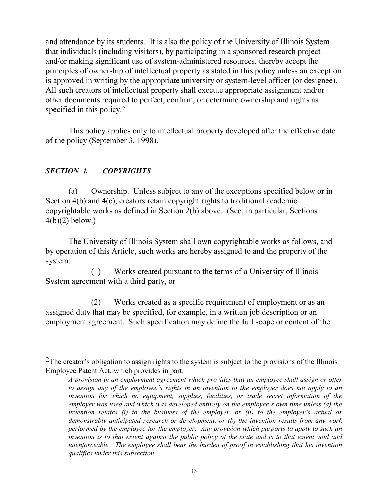and attendance by its students. It is also the policy of the University of Illinois System that individuals (including visitors), by participating in a sponsored research project and/or making significant use of system-administered resources, thereby accept the principles of ownership of intellectual property as stated in this policy unless an exception is approved in writing by the appropriate university or system-level officer (or designee). All such creators of intellectual property shall execute appropriate assignment and/or other documents required to perfect, confirm, or determine ownership and rights as specified in this policy.<sup>[2](#page-18-0)</sup>

This policy applies only to intellectual property developed after the effective date of the policy (September 3, 1998).

## *SECTION 4. COPYRIGHTS*

 $\overline{a}$ 

(a) Ownership. Unless subject to any of the exceptions specified below or in Section 4(b) and 4(c), creators retain copyright rights to traditional academic copyrightable works as defined in Section 2(b) above. (See, in particular, Sections  $4(b)(2)$  below.)

The University of Illinois System shall own copyrightable works as follows, and by operation of this Article, such works are hereby assigned to and the property of the system:

(1) Works created pursuant to the terms of a University of Illinois System agreement with a third party, or

(2) Works created as a specific requirement of employment or as an assigned duty that may be specified, for example, in a written job description or an employment agreement. Such specification may define the full scope or content of the

<span id="page-18-0"></span> $2$ The creator's obligation to assign rights to the system is subject to the provisions of the Illinois Employee Patent Act, which provides in part:

*A provision in an employment agreement which provides that an employee shall assign or offer to assign any of the employee's rights in an invention to the employer does not apply to an invention for which no equipment, supplies, facilities, or trade secret information of the employer was used and which was developed entirely on the employee's own time unless (a) the invention relates (i) to the business of the employer, or (ii) to the employer's actual or demonstrably anticipated research or development, or (b) the invention results from any work performed by the employee for the employer. Any provision which purports to apply to such an invention is to that extent against the public policy of the state and is to that extent void and unenforceable. The employee shall bear the burden of proof in establishing that his invention qualifies under this subsection.*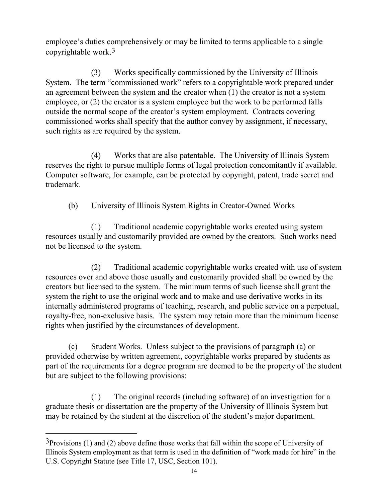employee's duties comprehensively or may be limited to terms applicable to a single copyrightable work.[3](#page-19-0)

(3) Works specifically commissioned by the University of Illinois System. The term "commissioned work" refers to a copyrightable work prepared under an agreement between the system and the creator when (1) the creator is not a system employee, or (2) the creator is a system employee but the work to be performed falls outside the normal scope of the creator's system employment. Contracts covering commissioned works shall specify that the author convey by assignment, if necessary, such rights as are required by the system.

(4) Works that are also patentable. The University of Illinois System reserves the right to pursue multiple forms of legal protection concomitantly if available. Computer software, for example, can be protected by copyright, patent, trade secret and trademark.

(b) University of Illinois System Rights in Creator-Owned Works

(1) Traditional academic copyrightable works created using system resources usually and customarily provided are owned by the creators. Such works need not be licensed to the system.

(2) Traditional academic copyrightable works created with use of system resources over and above those usually and customarily provided shall be owned by the creators but licensed to the system. The minimum terms of such license shall grant the system the right to use the original work and to make and use derivative works in its internally administered programs of teaching, research, and public service on a perpetual, royalty-free, non-exclusive basis. The system may retain more than the minimum license rights when justified by the circumstances of development.

(c) Student Works. Unless subject to the provisions of paragraph (a) or provided otherwise by written agreement, copyrightable works prepared by students as part of the requirements for a degree program are deemed to be the property of the student but are subject to the following provisions:

(1) The original records (including software) of an investigation for a graduate thesis or dissertation are the property of the University of Illinois System but may be retained by the student at the discretion of the student's major department.

 $\overline{a}$ 

<span id="page-19-0"></span> $3$ Provisions (1) and (2) above define those works that fall within the scope of University of Illinois System employment as that term is used in the definition of "work made for hire" in the U.S. Copyright Statute (see Title 17, USC, Section 101).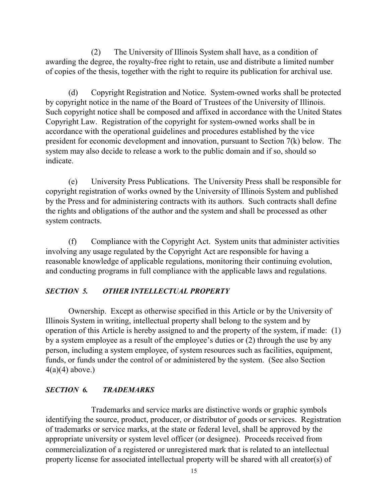(2) The University of Illinois System shall have, as a condition of awarding the degree, the royalty-free right to retain, use and distribute a limited number of copies of the thesis, together with the right to require its publication for archival use.

(d) Copyright Registration and Notice. System-owned works shall be protected by copyright notice in the name of the Board of Trustees of the University of Illinois. Such copyright notice shall be composed and affixed in accordance with the United States Copyright Law. Registration of the copyright for system-owned works shall be in accordance with the operational guidelines and procedures established by the vice president for economic development and innovation, pursuant to Section 7(k) below. The system may also decide to release a work to the public domain and if so, should so indicate.

(e) University Press Publications. The University Press shall be responsible for copyright registration of works owned by the University of Illinois System and published by the Press and for administering contracts with its authors. Such contracts shall define the rights and obligations of the author and the system and shall be processed as other system contracts.

(f) Compliance with the Copyright Act. System units that administer activities involving any usage regulated by the Copyright Act are responsible for having a reasonable knowledge of applicable regulations, monitoring their continuing evolution, and conducting programs in full compliance with the applicable laws and regulations.

#### *SECTION 5. OTHER INTELLECTUAL PROPERTY*

Ownership. Except as otherwise specified in this Article or by the University of Illinois System in writing, intellectual property shall belong to the system and by operation of this Article is hereby assigned to and the property of the system, if made: (1) by a system employee as a result of the employee's duties or (2) through the use by any person, including a system employee, of system resources such as facilities, equipment, funds, or funds under the control of or administered by the system. (See also Section  $4(a)(4)$  above.)

#### *SECTION 6. TRADEMARKS*

Trademarks and service marks are distinctive words or graphic symbols identifying the source, product, producer, or distributor of goods or services. Registration of trademarks or service marks, at the state or federal level, shall be approved by the appropriate university or system level officer (or designee). Proceeds received from commercialization of a registered or unregistered mark that is related to an intellectual property license for associated intellectual property will be shared with all creator(s) of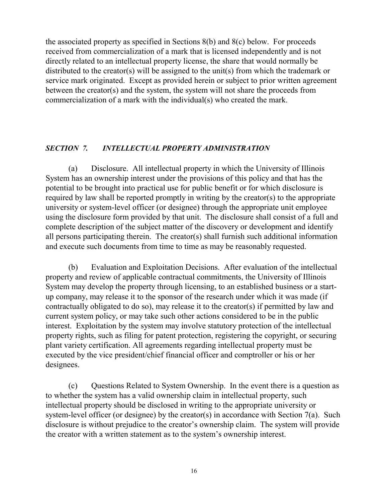the associated property as specified in Sections 8(b) and 8(c) below. For proceeds received from commercialization of a mark that is licensed independently and is not directly related to an intellectual property license, the share that would normally be distributed to the creator(s) will be assigned to the unit(s) from which the trademark or service mark originated. Except as provided herein or subject to prior written agreement between the creator(s) and the system, the system will not share the proceeds from commercialization of a mark with the individual(s) who created the mark.

#### *SECTION 7. INTELLECTUAL PROPERTY ADMINISTRATION*

(a) Disclosure. All intellectual property in which the University of Illinois System has an ownership interest under the provisions of this policy and that has the potential to be brought into practical use for public benefit or for which disclosure is required by law shall be reported promptly in writing by the creator(s) to the appropriate university or system-level officer (or designee) through the appropriate unit employee using the disclosure form provided by that unit. The disclosure shall consist of a full and complete description of the subject matter of the discovery or development and identify all persons participating therein. The creator(s) shall furnish such additional information and execute such documents from time to time as may be reasonably requested.

(b) Evaluation and Exploitation Decisions. After evaluation of the intellectual property and review of applicable contractual commitments, the University of Illinois System may develop the property through licensing, to an established business or a startup company, may release it to the sponsor of the research under which it was made (if contractually obligated to do so), may release it to the creator(s) if permitted by law and current system policy, or may take such other actions considered to be in the public interest. Exploitation by the system may involve statutory protection of the intellectual property rights, such as filing for patent protection, registering the copyright, or securing plant variety certification. All agreements regarding intellectual property must be executed by the vice president/chief financial officer and comptroller or his or her designees.

(c) Questions Related to System Ownership. In the event there is a question as to whether the system has a valid ownership claim in intellectual property, such intellectual property should be disclosed in writing to the appropriate university or system-level officer (or designee) by the creator(s) in accordance with Section 7(a). Such disclosure is without prejudice to the creator's ownership claim. The system will provide the creator with a written statement as to the system's ownership interest.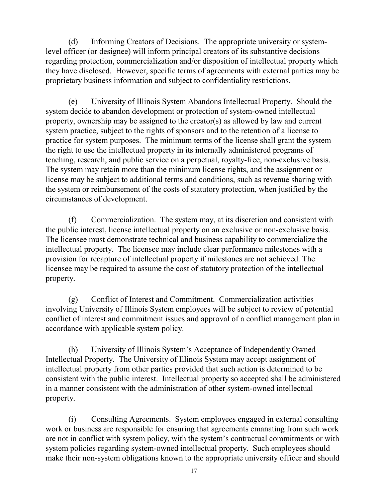(d) Informing Creators of Decisions. The appropriate university or systemlevel officer (or designee) will inform principal creators of its substantive decisions regarding protection, commercialization and/or disposition of intellectual property which they have disclosed. However, specific terms of agreements with external parties may be proprietary business information and subject to confidentiality restrictions.

(e) University of Illinois System Abandons Intellectual Property. Should the system decide to abandon development or protection of system-owned intellectual property, ownership may be assigned to the creator(s) as allowed by law and current system practice, subject to the rights of sponsors and to the retention of a license to practice for system purposes. The minimum terms of the license shall grant the system the right to use the intellectual property in its internally administered programs of teaching, research, and public service on a perpetual, royalty-free, non-exclusive basis. The system may retain more than the minimum license rights, and the assignment or license may be subject to additional terms and conditions, such as revenue sharing with the system or reimbursement of the costs of statutory protection, when justified by the circumstances of development.

(f) Commercialization. The system may, at its discretion and consistent with the public interest, license intellectual property on an exclusive or non-exclusive basis. The licensee must demonstrate technical and business capability to commercialize the intellectual property. The licensee may include clear performance milestones with a provision for recapture of intellectual property if milestones are not achieved. The licensee may be required to assume the cost of statutory protection of the intellectual property.

(g) Conflict of Interest and Commitment. Commercialization activities involving University of Illinois System employees will be subject to review of potential conflict of interest and commitment issues and approval of a conflict management plan in accordance with applicable system policy.

(h) University of Illinois System's Acceptance of Independently Owned Intellectual Property. The University of Illinois System may accept assignment of intellectual property from other parties provided that such action is determined to be consistent with the public interest. Intellectual property so accepted shall be administered in a manner consistent with the administration of other system-owned intellectual property.

(i) Consulting Agreements. System employees engaged in external consulting work or business are responsible for ensuring that agreements emanating from such work are not in conflict with system policy, with the system's contractual commitments or with system policies regarding system-owned intellectual property. Such employees should make their non-system obligations known to the appropriate university officer and should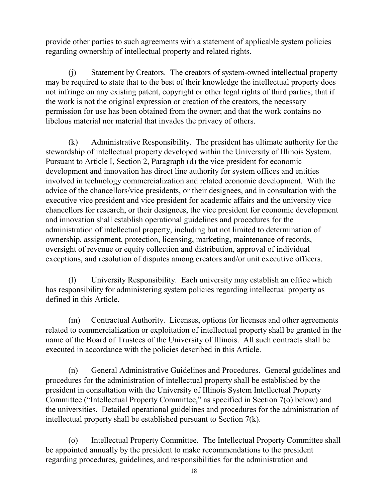provide other parties to such agreements with a statement of applicable system policies regarding ownership of intellectual property and related rights.

(j) Statement by Creators. The creators of system-owned intellectual property may be required to state that to the best of their knowledge the intellectual property does not infringe on any existing patent, copyright or other legal rights of third parties; that if the work is not the original expression or creation of the creators, the necessary permission for use has been obtained from the owner; and that the work contains no libelous material nor material that invades the privacy of others.

(k) Administrative Responsibility. The president has ultimate authority for the stewardship of intellectual property developed within the University of Illinois System. Pursuant to Article I, Section 2, Paragraph (d) the vice president for economic development and innovation has direct line authority for system offices and entities involved in technology commercialization and related economic development. With the advice of the chancellors/vice presidents, or their designees, and in consultation with the executive vice president and vice president for academic affairs and the university vice chancellors for research, or their designees, the vice president for economic development and innovation shall establish operational guidelines and procedures for the administration of intellectual property, including but not limited to determination of ownership, assignment, protection, licensing, marketing, maintenance of records, oversight of revenue or equity collection and distribution, approval of individual exceptions, and resolution of disputes among creators and/or unit executive officers.

(l) University Responsibility. Each university may establish an office which has responsibility for administering system policies regarding intellectual property as defined in this Article.

(m) Contractual Authority. Licenses, options for licenses and other agreements related to commercialization or exploitation of intellectual property shall be granted in the name of the Board of Trustees of the University of Illinois. All such contracts shall be executed in accordance with the policies described in this Article.

(n) General Administrative Guidelines and Procedures. General guidelines and procedures for the administration of intellectual property shall be established by the president in consultation with the University of Illinois System Intellectual Property Committee ("Intellectual Property Committee," as specified in Section 7(o) below) and the universities. Detailed operational guidelines and procedures for the administration of intellectual property shall be established pursuant to Section 7(k).

(o) Intellectual Property Committee. The Intellectual Property Committee shall be appointed annually by the president to make recommendations to the president regarding procedures, guidelines, and responsibilities for the administration and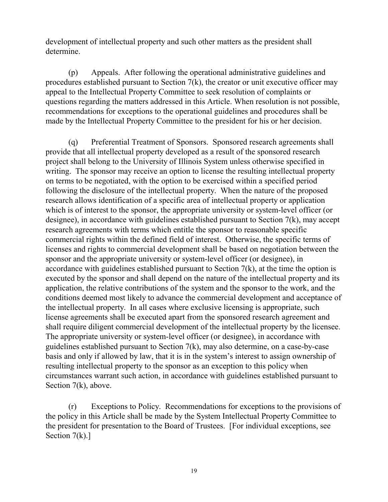development of intellectual property and such other matters as the president shall determine.

(p) Appeals. After following the operational administrative guidelines and procedures established pursuant to Section 7(k), the creator or unit executive officer may appeal to the Intellectual Property Committee to seek resolution of complaints or questions regarding the matters addressed in this Article. When resolution is not possible, recommendations for exceptions to the operational guidelines and procedures shall be made by the Intellectual Property Committee to the president for his or her decision.

(q) Preferential Treatment of Sponsors. Sponsored research agreements shall provide that all intellectual property developed as a result of the sponsored research project shall belong to the University of Illinois System unless otherwise specified in writing. The sponsor may receive an option to license the resulting intellectual property on terms to be negotiated, with the option to be exercised within a specified period following the disclosure of the intellectual property. When the nature of the proposed research allows identification of a specific area of intellectual property or application which is of interest to the sponsor, the appropriate university or system-level officer (or designee), in accordance with guidelines established pursuant to Section 7(k), may accept research agreements with terms which entitle the sponsor to reasonable specific commercial rights within the defined field of interest. Otherwise, the specific terms of licenses and rights to commercial development shall be based on negotiation between the sponsor and the appropriate university or system-level officer (or designee), in accordance with guidelines established pursuant to Section  $7(k)$ , at the time the option is executed by the sponsor and shall depend on the nature of the intellectual property and its application, the relative contributions of the system and the sponsor to the work, and the conditions deemed most likely to advance the commercial development and acceptance of the intellectual property. In all cases where exclusive licensing is appropriate, such license agreements shall be executed apart from the sponsored research agreement and shall require diligent commercial development of the intellectual property by the licensee. The appropriate university or system-level officer (or designee), in accordance with guidelines established pursuant to Section 7(k), may also determine, on a case-by-case basis and only if allowed by law, that it is in the system's interest to assign ownership of resulting intellectual property to the sponsor as an exception to this policy when circumstances warrant such action, in accordance with guidelines established pursuant to Section 7(k), above.

(r) Exceptions to Policy. Recommendations for exceptions to the provisions of the policy in this Article shall be made by the System Intellectual Property Committee to the president for presentation to the Board of Trustees. [For individual exceptions, see Section  $7(k)$ .]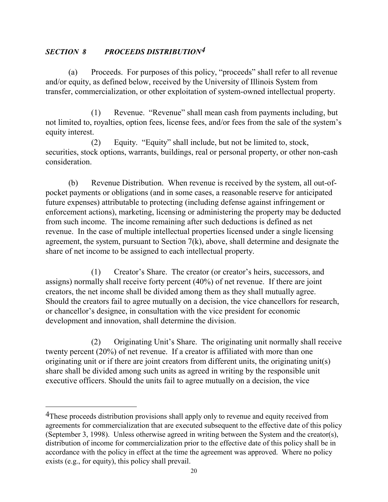#### *SECTION 8 PROCEEDS DISTRIBUTION[4](#page-25-0)*

 $\overline{a}$ 

(a) Proceeds. For purposes of this policy, "proceeds" shall refer to all revenue and/or equity, as defined below, received by the University of Illinois System from transfer, commercialization, or other exploitation of system-owned intellectual property.

(1) Revenue. "Revenue" shall mean cash from payments including, but not limited to, royalties, option fees, license fees, and/or fees from the sale of the system's equity interest.

(2) Equity. "Equity" shall include, but not be limited to, stock, securities, stock options, warrants, buildings, real or personal property, or other non-cash consideration.

(b) Revenue Distribution. When revenue is received by the system, all out-ofpocket payments or obligations (and in some cases, a reasonable reserve for anticipated future expenses) attributable to protecting (including defense against infringement or enforcement actions), marketing, licensing or administering the property may be deducted from such income. The income remaining after such deductions is defined as net revenue. In the case of multiple intellectual properties licensed under a single licensing agreement, the system, pursuant to Section 7(k), above, shall determine and designate the share of net income to be assigned to each intellectual property.

(1) Creator's Share. The creator (or creator's heirs, successors, and assigns) normally shall receive forty percent (40%) of net revenue. If there are joint creators, the net income shall be divided among them as they shall mutually agree. Should the creators fail to agree mutually on a decision, the vice chancellors for research, or chancellor's designee, in consultation with the vice president for economic development and innovation, shall determine the division.

(2) Originating Unit's Share. The originating unit normally shall receive twenty percent (20%) of net revenue. If a creator is affiliated with more than one originating unit or if there are joint creators from different units, the originating unit(s) share shall be divided among such units as agreed in writing by the responsible unit executive officers. Should the units fail to agree mutually on a decision, the vice

<span id="page-25-0"></span><sup>&</sup>lt;sup>4</sup>These proceeds distribution provisions shall apply only to revenue and equity received from agreements for commercialization that are executed subsequent to the effective date of this policy (September 3, 1998). Unless otherwise agreed in writing between the System and the creator(s), distribution of income for commercialization prior to the effective date of this policy shall be in accordance with the policy in effect at the time the agreement was approved. Where no policy exists (e.g., for equity), this policy shall prevail.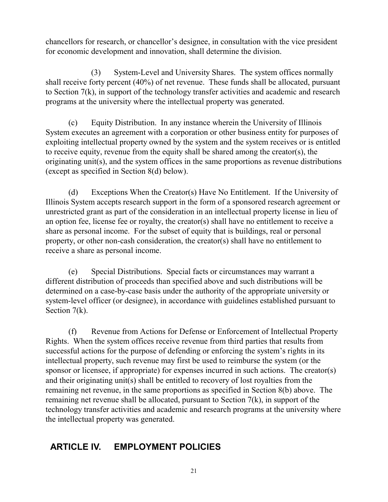chancellors for research, or chancellor's designee, in consultation with the vice president for economic development and innovation, shall determine the division.

(3) System-Level and University Shares. The system offices normally shall receive forty percent (40%) of net revenue. These funds shall be allocated, pursuant to Section 7(k), in support of the technology transfer activities and academic and research programs at the university where the intellectual property was generated.

(c) Equity Distribution. In any instance wherein the University of Illinois System executes an agreement with a corporation or other business entity for purposes of exploiting intellectual property owned by the system and the system receives or is entitled to receive equity, revenue from the equity shall be shared among the creator(s), the originating unit(s), and the system offices in the same proportions as revenue distributions (except as specified in Section 8(d) below).

(d) Exceptions When the Creator(s) Have No Entitlement. If the University of Illinois System accepts research support in the form of a sponsored research agreement or unrestricted grant as part of the consideration in an intellectual property license in lieu of an option fee, license fee or royalty, the creator(s) shall have no entitlement to receive a share as personal income. For the subset of equity that is buildings, real or personal property, or other non-cash consideration, the creator(s) shall have no entitlement to receive a share as personal income.

(e) Special Distributions. Special facts or circumstances may warrant a different distribution of proceeds than specified above and such distributions will be determined on a case-by-case basis under the authority of the appropriate university or system-level officer (or designee), in accordance with guidelines established pursuant to Section 7(k).

(f) Revenue from Actions for Defense or Enforcement of Intellectual Property Rights. When the system offices receive revenue from third parties that results from successful actions for the purpose of defending or enforcing the system's rights in its intellectual property, such revenue may first be used to reimburse the system (or the sponsor or licensee, if appropriate) for expenses incurred in such actions. The creator(s) and their originating unit(s) shall be entitled to recovery of lost royalties from the remaining net revenue, in the same proportions as specified in Section 8(b) above. The remaining net revenue shall be allocated, pursuant to Section 7(k), in support of the technology transfer activities and academic and research programs at the university where the intellectual property was generated.

# **ARTICLE IV. EMPLOYMENT POLICIES**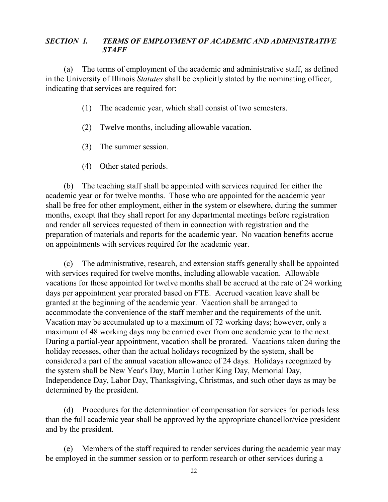#### *SECTION 1. TERMS OF EMPLOYMENT OF ACADEMIC AND ADMINISTRATIVE STAFF*

(a) The terms of employment of the academic and administrative staff, as defined in the University of Illinois *Statutes* shall be explicitly stated by the nominating officer, indicating that services are required for:

- (1) The academic year, which shall consist of two semesters.
- (2) Twelve months, including allowable vacation.
- (3) The summer session.
- (4) Other stated periods.

(b) The teaching staff shall be appointed with services required for either the academic year or for twelve months. Those who are appointed for the academic year shall be free for other employment, either in the system or elsewhere, during the summer months, except that they shall report for any departmental meetings before registration and render all services requested of them in connection with registration and the preparation of materials and reports for the academic year. No vacation benefits accrue on appointments with services required for the academic year.

(c) The administrative, research, and extension staffs generally shall be appointed with services required for twelve months, including allowable vacation. Allowable vacations for those appointed for twelve months shall be accrued at the rate of 24 working days per appointment year prorated based on FTE. Accrued vacation leave shall be granted at the beginning of the academic year. Vacation shall be arranged to accommodate the convenience of the staff member and the requirements of the unit. Vacation may be accumulated up to a maximum of 72 working days; however, only a maximum of 48 working days may be carried over from one academic year to the next. During a partial-year appointment, vacation shall be prorated. Vacations taken during the holiday recesses, other than the actual holidays recognized by the system, shall be considered a part of the annual vacation allowance of 24 days. Holidays recognized by the system shall be New Year's Day, Martin Luther King Day, Memorial Day, Independence Day, Labor Day, Thanksgiving, Christmas, and such other days as may be determined by the president.

(d) Procedures for the determination of compensation for services for periods less than the full academic year shall be approved by the appropriate chancellor/vice president and by the president.

(e) Members of the staff required to render services during the academic year may be employed in the summer session or to perform research or other services during a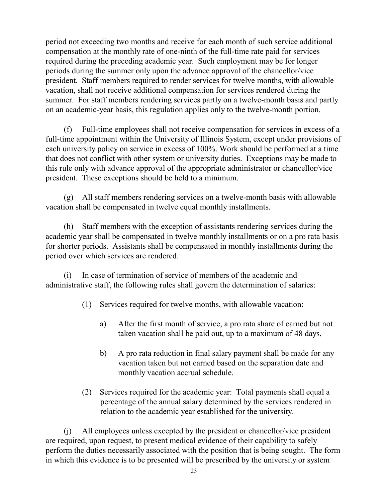period not exceeding two months and receive for each month of such service additional compensation at the monthly rate of one-ninth of the full-time rate paid for services required during the preceding academic year. Such employment may be for longer periods during the summer only upon the advance approval of the chancellor/vice president. Staff members required to render services for twelve months, with allowable vacation, shall not receive additional compensation for services rendered during the summer. For staff members rendering services partly on a twelve-month basis and partly on an academic-year basis, this regulation applies only to the twelve-month portion.

(f) Full-time employees shall not receive compensation for services in excess of a full-time appointment within the University of Illinois System, except under provisions of each university policy on service in excess of 100%. Work should be performed at a time that does not conflict with other system or university duties. Exceptions may be made to this rule only with advance approval of the appropriate administrator or chancellor/vice president. These exceptions should be held to a minimum.

(g) All staff members rendering services on a twelve-month basis with allowable vacation shall be compensated in twelve equal monthly installments.

(h) Staff members with the exception of assistants rendering services during the academic year shall be compensated in twelve monthly installments or on a pro rata basis for shorter periods. Assistants shall be compensated in monthly installments during the period over which services are rendered.

(i) In case of termination of service of members of the academic and administrative staff, the following rules shall govern the determination of salaries:

- (1) Services required for twelve months, with allowable vacation:
	- a) After the first month of service, a pro rata share of earned but not taken vacation shall be paid out, up to a maximum of 48 days,
	- b) A pro rata reduction in final salary payment shall be made for any vacation taken but not earned based on the separation date and monthly vacation accrual schedule.
- (2) Services required for the academic year: Total payments shall equal a percentage of the annual salary determined by the services rendered in relation to the academic year established for the university.

(j) All employees unless excepted by the president or chancellor/vice president are required, upon request, to present medical evidence of their capability to safely perform the duties necessarily associated with the position that is being sought. The form in which this evidence is to be presented will be prescribed by the university or system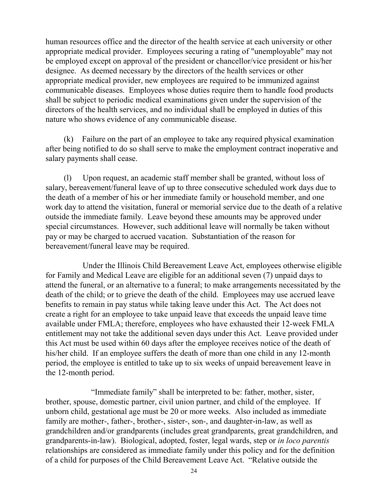human resources office and the director of the health service at each university or other appropriate medical provider. Employees securing a rating of "unemployable" may not be employed except on approval of the president or chancellor/vice president or his/her designee. As deemed necessary by the directors of the health services or other appropriate medical provider, new employees are required to be immunized against communicable diseases. Employees whose duties require them to handle food products shall be subject to periodic medical examinations given under the supervision of the directors of the health services, and no individual shall be employed in duties of this nature who shows evidence of any communicable disease.

(k) Failure on the part of an employee to take any required physical examination after being notified to do so shall serve to make the employment contract inoperative and salary payments shall cease.

(l) Upon request, an academic staff member shall be granted, without loss of salary, bereavement/funeral leave of up to three consecutive scheduled work days due to the death of a member of his or her immediate family or household member, and one work day to attend the visitation, funeral or memorial service due to the death of a relative outside the immediate family. Leave beyond these amounts may be approved under special circumstances. However, such additional leave will normally be taken without pay or may be charged to accrued vacation. Substantiation of the reason for bereavement/funeral leave may be required.

Under the Illinois Child Bereavement Leave Act, employees otherwise eligible for Family and Medical Leave are eligible for an additional seven (7) unpaid days to attend the funeral, or an alternative to a funeral; to make arrangements necessitated by the death of the child; or to grieve the death of the child. Employees may use accrued leave benefits to remain in pay status while taking leave under this Act. The Act does not create a right for an employee to take unpaid leave that exceeds the unpaid leave time available under FMLA; therefore, employees who have exhausted their 12-week FMLA entitlement may not take the additional seven days under this Act. Leave provided under this Act must be used within 60 days after the employee receives notice of the death of his/her child. If an employee suffers the death of more than one child in any 12-month period, the employee is entitled to take up to six weeks of unpaid bereavement leave in the 12-month period.

"Immediate family" shall be interpreted to be: father, mother, sister, brother, spouse, domestic partner, civil union partner, and child of the employee. If unborn child, gestational age must be 20 or more weeks. Also included as immediate family are mother-, father-, brother-, sister-, son-, and daughter-in-law, as well as grandchildren and/or grandparents (includes great grandparents, great grandchildren, and grandparents-in-law). Biological, adopted, foster, legal wards, step or *in loco parentis* relationships are considered as immediate family under this policy and for the definition of a child for purposes of the Child Bereavement Leave Act. "Relative outside the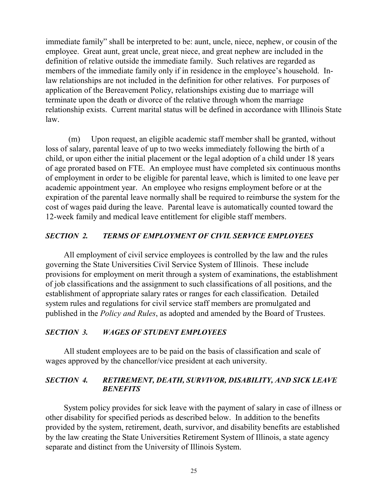immediate family" shall be interpreted to be: aunt, uncle, niece, nephew, or cousin of the employee. Great aunt, great uncle, great niece, and great nephew are included in the definition of relative outside the immediate family. Such relatives are regarded as members of the immediate family only if in residence in the employee's household. Inlaw relationships are not included in the definition for other relatives. For purposes of application of the Bereavement Policy, relationships existing due to marriage will terminate upon the death or divorce of the relative through whom the marriage relationship exists. Current marital status will be defined in accordance with Illinois State law.

(m) Upon request, an eligible academic staff member shall be granted, without loss of salary, parental leave of up to two weeks immediately following the birth of a child, or upon either the initial placement or the legal adoption of a child under 18 years of age prorated based on FTE. An employee must have completed six continuous months of employment in order to be eligible for parental leave, which is limited to one leave per academic appointment year. An employee who resigns employment before or at the expiration of the parental leave normally shall be required to reimburse the system for the cost of wages paid during the leave. Parental leave is automatically counted toward the 12-week family and medical leave entitlement for eligible staff members.

#### *SECTION 2. TERMS OF EMPLOYMENT OF CIVIL SERVICE EMPLOYEES*

All employment of civil service employees is controlled by the law and the rules governing the State Universities Civil Service System of Illinois. These include provisions for employment on merit through a system of examinations, the establishment of job classifications and the assignment to such classifications of all positions, and the establishment of appropriate salary rates or ranges for each classification. Detailed system rules and regulations for civil service staff members are promulgated and published in the *Policy and Rules*, as adopted and amended by the Board of Trustees.

#### *SECTION 3. WAGES OF STUDENT EMPLOYEES*

All student employees are to be paid on the basis of classification and scale of wages approved by the chancellor/vice president at each university.

#### *SECTION 4. RETIREMENT, DEATH, SURVIVOR, DISABILITY, AND SICK LEAVE BENEFITS*

System policy provides for sick leave with the payment of salary in case of illness or other disability for specified periods as described below. In addition to the benefits provided by the system, retirement, death, survivor, and disability benefits are established by the law creating the State Universities Retirement System of Illinois, a state agency separate and distinct from the University of Illinois System.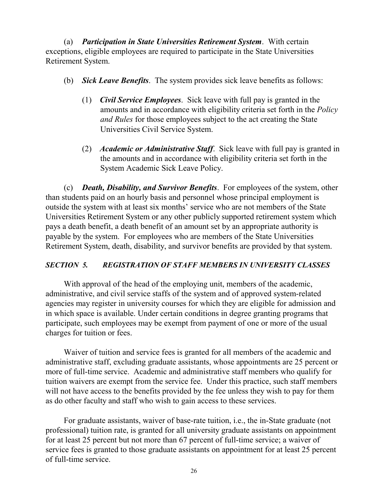(a) *Participation in State Universities Retirement System*. With certain exceptions, eligible employees are required to participate in the State Universities Retirement System.

- (b) *Sick Leave Benefits*. The system provides sick leave benefits as follows:
	- (1) *Civil Service Employees*. Sick leave with full pay is granted in the amounts and in accordance with eligibility criteria set forth in the *Policy and Rules* for those employees subject to the act creating the State Universities Civil Service System.
	- (2) *Academic or Administrative Staff*. Sick leave with full pay is granted in the amounts and in accordance with eligibility criteria set forth in the System Academic Sick Leave Policy.

(c) *Death, Disability, and Survivor Benefits*. For employees of the system, other than students paid on an hourly basis and personnel whose principal employment is outside the system with at least six months' service who are not members of the State Universities Retirement System or any other publicly supported retirement system which pays a death benefit, a death benefit of an amount set by an appropriate authority is payable by the system. For employees who are members of the State Universities Retirement System, death, disability, and survivor benefits are provided by that system.

## *SECTION 5. REGISTRATION OF STAFF MEMBERS IN UNIVERSITY CLASSES*

With approval of the head of the employing unit, members of the academic, administrative, and civil service staffs of the system and of approved system-related agencies may register in university courses for which they are eligible for admission and in which space is available. Under certain conditions in degree granting programs that participate, such employees may be exempt from payment of one or more of the usual charges for tuition or fees.

Waiver of tuition and service fees is granted for all members of the academic and administrative staff, excluding graduate assistants, whose appointments are 25 percent or more of full-time service. Academic and administrative staff members who qualify for tuition waivers are exempt from the service fee. Under this practice, such staff members will not have access to the benefits provided by the fee unless they wish to pay for them as do other faculty and staff who wish to gain access to these services.

For graduate assistants, waiver of base-rate tuition, i.e., the in-State graduate (not professional) tuition rate, is granted for all university graduate assistants on appointment for at least 25 percent but not more than 67 percent of full-time service; a waiver of service fees is granted to those graduate assistants on appointment for at least 25 percent of full-time service.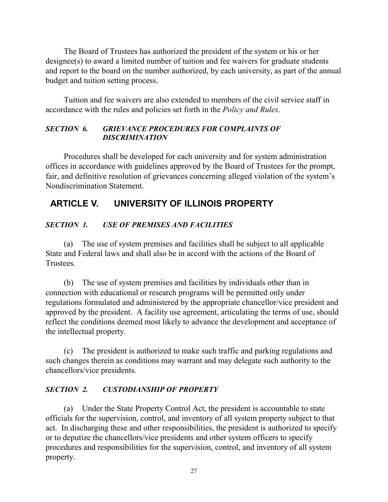The Board of Trustees has authorized the president of the system or his or her designee(s) to award a limited number of tuition and fee waivers for graduate students and report to the board on the number authorized, by each university, as part of the annual budget and tuition setting process.

Tuition and fee waivers are also extended to members of the civil service staff in accordance with the rules and policies set forth in the *Policy and Rules*.

#### *SECTION 6. GRIEVANCE PROCEDURES FOR COMPLAINTS OF DISCRIMINATION*

Procedures shall be developed for each university and for system administration offices in accordance with guidelines approved by the Board of Trustees for the prompt, fair, and definitive resolution of grievances concerning alleged violation of the system's Nondiscrimination Statement.

# **ARTICLE V. UNIVERSITY OF ILLINOIS PROPERTY**

## *SECTION 1. USE OF PREMISES AND FACILITIES*

(a) The use of system premises and facilities shall be subject to all applicable State and Federal laws and shall also be in accord with the actions of the Board of Trustees.

(b) The use of system premises and facilities by individuals other than in connection with educational or research programs will be permitted only under regulations formulated and administered by the appropriate chancellor/vice president and approved by the president. A facility use agreement, articulating the terms of use, should reflect the conditions deemed most likely to advance the development and acceptance of the intellectual property.

(c) The president is authorized to make such traffic and parking regulations and such changes therein as conditions may warrant and may delegate such authority to the chancellors/vice presidents.

## *SECTION 2. CUSTODIANSHIP OF PROPERTY*

(a) Under the State Property Control Act, the president is accountable to state officials for the supervision, control, and inventory of all system property subject to that act. In discharging these and other responsibilities, the president is authorized to specify or to deputize the chancellors/vice presidents and other system officers to specify procedures and responsibilities for the supervision, control, and inventory of all system property.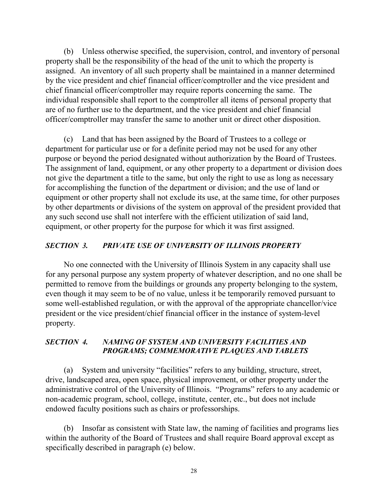(b) Unless otherwise specified, the supervision, control, and inventory of personal property shall be the responsibility of the head of the unit to which the property is assigned. An inventory of all such property shall be maintained in a manner determined by the vice president and chief financial officer/comptroller and the vice president and chief financial officer/comptroller may require reports concerning the same. The individual responsible shall report to the comptroller all items of personal property that are of no further use to the department, and the vice president and chief financial officer/comptroller may transfer the same to another unit or direct other disposition.

(c) Land that has been assigned by the Board of Trustees to a college or department for particular use or for a definite period may not be used for any other purpose or beyond the period designated without authorization by the Board of Trustees. The assignment of land, equipment, or any other property to a department or division does not give the department a title to the same, but only the right to use as long as necessary for accomplishing the function of the department or division; and the use of land or equipment or other property shall not exclude its use, at the same time, for other purposes by other departments or divisions of the system on approval of the president provided that any such second use shall not interfere with the efficient utilization of said land, equipment, or other property for the purpose for which it was first assigned.

#### *SECTION 3. PRIVATE USE OF UNIVERSITY OF ILLINOIS PROPERTY*

No one connected with the University of Illinois System in any capacity shall use for any personal purpose any system property of whatever description, and no one shall be permitted to remove from the buildings or grounds any property belonging to the system, even though it may seem to be of no value, unless it be temporarily removed pursuant to some well-established regulation, or with the approval of the appropriate chancellor/vice president or the vice president/chief financial officer in the instance of system-level property.

#### *SECTION 4. NAMING OF SYSTEM AND UNIVERSITY FACILITIES AND PROGRAMS; COMMEMORATIVE PLAQUES AND TABLETS*

(a) System and university "facilities" refers to any building, structure, street, drive, landscaped area, open space, physical improvement, or other property under the administrative control of the University of Illinois. "Programs" refers to any academic or non-academic program, school, college, institute, center, etc., but does not include endowed faculty positions such as chairs or professorships.

(b) Insofar as consistent with State law, the naming of facilities and programs lies within the authority of the Board of Trustees and shall require Board approval except as specifically described in paragraph (e) below.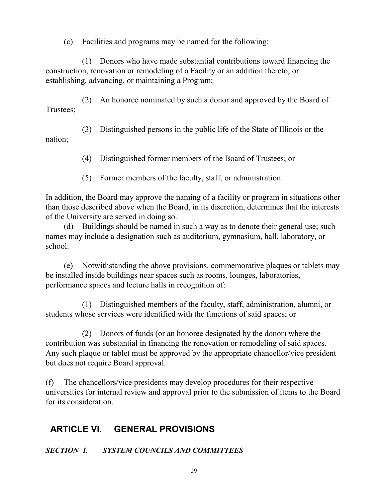(c) Facilities and programs may be named for the following:

(1) Donors who have made substantial contributions toward financing the construction, renovation or remodeling of a Facility or an addition thereto; or establishing, advancing, or maintaining a Program;

(2) An honoree nominated by such a donor and approved by the Board of Trustees;

(3) Distinguished persons in the public life of the State of Illinois or the nation;

(4) Distinguished former members of the Board of Trustees; or

(5) Former members of the faculty, staff, or administration.

In addition, the Board may approve the naming of a facility or program in situations other than those described above when the Board, in its discretion, determines that the interests of the University are served in doing so.

(d) Buildings should be named in such a way as to denote their general use; such names may include a designation such as auditorium, gymnasium, hall, laboratory, or school.

(e) Notwithstanding the above provisions, commemorative plaques or tablets may be installed inside buildings near spaces such as rooms, lounges, laboratories, performance spaces and lecture halls in recognition of:

(1) Distinguished members of the faculty, staff, administration, alumni, or students whose services were identified with the functions of said spaces; or

(2) Donors of funds (or an honoree designated by the donor) where the contribution was substantial in financing the renovation or remodeling of said spaces. Any such plaque or tablet must be approved by the appropriate chancellor/vice president but does not require Board approval.

(f) The chancellors/vice presidents may develop procedures for their respective universities for internal review and approval prior to the submission of items to the Board for its consideration.

# **ARTICLE VI. GENERAL PROVISIONS**

#### *SECTION 1. SYSTEM COUNCILS AND COMMITTEES*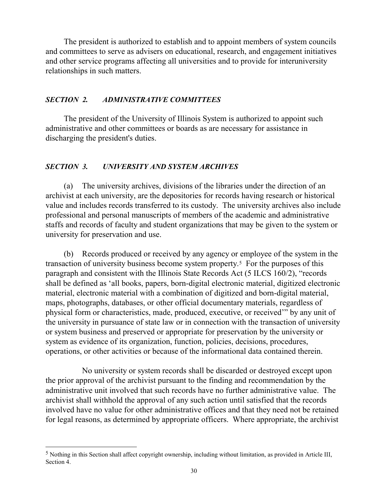The president is authorized to establish and to appoint members of system councils and committees to serve as advisers on educational, research, and engagement initiatives and other service programs affecting all universities and to provide for interuniversity relationships in such matters.

#### *SECTION 2. ADMINISTRATIVE COMMITTEES*

The president of the University of Illinois System is authorized to appoint such administrative and other committees or boards as are necessary for assistance in discharging the president's duties.

#### *SECTION 3. UNIVERSITY AND SYSTEM ARCHIVES*

(a) The university archives, divisions of the libraries under the direction of an archivist at each university, are the depositories for records having research or historical value and includes records transferred to its custody. The university archives also include professional and personal manuscripts of members of the academic and administrative staffs and records of faculty and student organizations that may be given to the system or university for preservation and use.

(b) Records produced or received by any agency or employee of the system in the transaction of university business become system property.[5](#page-35-0) For the purposes of this paragraph and consistent with the Illinois State Records Act (5 ILCS 160/2), "records shall be defined as 'all books, papers, born-digital electronic material, digitized electronic material, electronic material with a combination of digitized and born-digital material, maps, photographs, databases, or other official documentary materials, regardless of physical form or characteristics, made, produced, executive, or received'" by any unit of the university in pursuance of state law or in connection with the transaction of university or system business and preserved or appropriate for preservation by the university or system as evidence of its organization, function, policies, decisions, procedures, operations, or other activities or because of the informational data contained therein.

No university or system records shall be discarded or destroyed except upon the prior approval of the archivist pursuant to the finding and recommendation by the administrative unit involved that such records have no further administrative value. The archivist shall withhold the approval of any such action until satisfied that the records involved have no value for other administrative offices and that they need not be retained for legal reasons, as determined by appropriate officers. Where appropriate, the archivist

<span id="page-35-0"></span> <sup>5</sup> Nothing in this Section shall affect copyright ownership, including without limitation, as provided in Article III, Section 4.